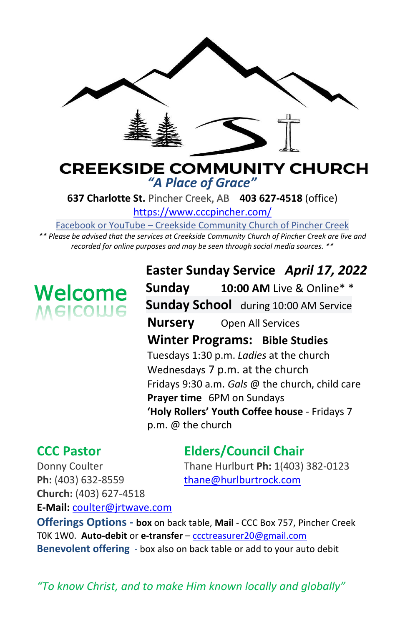

## **CREEKSIDE COMMUNITY CHURCH** *"A Place of Grace"*

**637 Charlotte St.** Pincher Creek, AB **403 627-4518** (office)

<https://www.cccpincher.com/>

Facebook or YouTube – Creekside Community Church of Pincher Creek

*\*\* Please be advised that the services at Creekside Community Church of Pincher Creek are live and recorded for online purposes and may be seen through social media sources. \*\**

# **Welcome**<br>Melcolue

**Easter Sunday Service** *April 17, 2022* **Sunday 10:00 AM** Live & Online\* \* **Sunday School** during 10:00 AM Service **Nursery** Open All Services **Winter Programs: Bible Studies** Tuesdays 1:30 p.m. *Ladies* at the church Wednesdays 7 p.m. at the church Fridays 9:30 a.m. *Gals* @ the church, child care **Prayer time** 6PM on Sundays **'Holy Rollers' Youth Coffee house** - Fridays 7 p.m. @ the church

# **CCC Pastor Elders/Council Chair**

Donny Coulter Thane Hurlburt **Ph:** 1(403) 382-0123

Ph: (403) 632-8559 [thane@hurlburtrock.com](mailto:thane@hurlburtrock.com) **Church:** (403) 627-4518 **E-Mail:** [coulter@jrtwave.com](mailto:coulter@jrtwave.com)

**Offerings Options - box** on back table, **Mail** - CCC Box 757, Pincher Creek T0K 1W0. **Auto-debit** or **e-transfer** – [ccctreasurer20@gmail.com](mailto:ccctreasurer20@gmail.com) **Benevolent offering** - box also on back table or add to your auto debit

*"To know Christ, and to make Him known locally and globally"*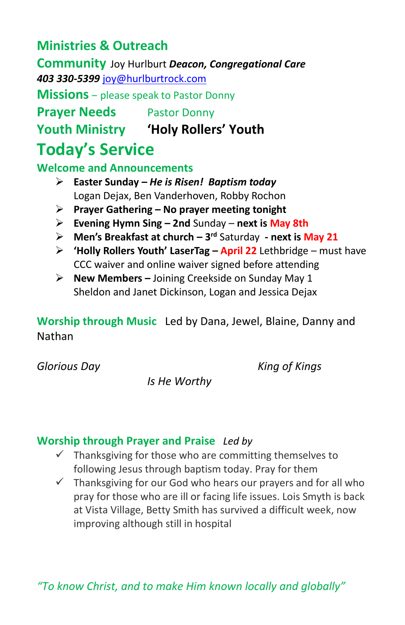# **Ministries & Outreach**

**Community** Joy Hurlburt *Deacon, Congregational Care 403 330-5399* [joy@hurlburtrock.com](mailto:joy@hurlburtrock.com)

**Missions** – please speak to Pastor Donny

**Prayer Needs** Pastor Donny

**Youth Ministry 'Holy Rollers' Youth**

# **Today's Service**

**Welcome and Announcements** 

- ➢ **Easter Sunday –** *He is Risen! Baptism today* Logan Dejax, Ben Vanderhoven, Robby Rochon
- ➢ **Prayer Gathering – No prayer meeting tonight**
- ➢ **Evening Hymn Sing – 2nd** Sunday **next is May 8th**
- ➢ **Men's Breakfast at church – 3 rd** Saturday **- next is May 21**
- ➢ **'Holly Rollers Youth' LaserTag – April 22** Lethbridge must have CCC waiver and online waiver signed before attending
- ➢ **New Members –** Joining Creekside on Sunday May 1 Sheldon and Janet Dickinson, Logan and Jessica Dejax

**Worship through Music**Led by Dana, Jewel, Blaine, Danny and Nathan

*Glorious Day King of Kings*

*Is He Worthy*

## **Worship through Prayer and Praise** *Led by*

- $\checkmark$  Thanksgiving for those who are committing themselves to following Jesus through baptism today. Pray for them
- $\checkmark$  Thanksgiving for our God who hears our prayers and for all who pray for those who are ill or facing life issues. Lois Smyth is back at Vista Village, Betty Smith has survived a difficult week, now improving although still in hospital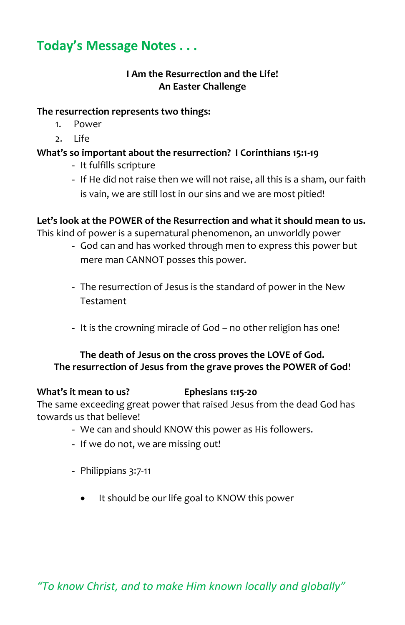# **Today's Message Notes . . .**

#### **I Am the Resurrection and the Life! An Easter Challenge**

#### **The resurrection represents two things:**

- 1. Power
- 2. Life

#### **What's so important about the resurrection? I Corinthians 15:1-19**

- It fulfills scripture
- If He did not raise then we will not raise, all this is a sham, our faith is vain, we are still lost in our sins and we are most pitied!

#### **Let's look at the POWER of the Resurrection and what it should mean to us.**

This kind of power is a supernatural phenomenon, an unworldly power

- God can and has worked through men to express this power but mere man CANNOT posses this power.
- The resurrection of Jesus is the standard of power in the New Testament
- It is the crowning miracle of God no other religion has one!

#### **The death of Jesus on the cross proves the LOVE of God. The resurrection of Jesus from the grave proves the POWER of God**!

#### **What's it mean to us? Ephesians 1:15-20**

The same exceeding great power that raised Jesus from the dead God has towards us that believe!

- We can and should KNOW this power as His followers.
- If we do not, we are missing out!
- Philippians 3:7-11
	- It should be our life goal to KNOW this power

*"To know Christ, and to make Him known locally and globally"*